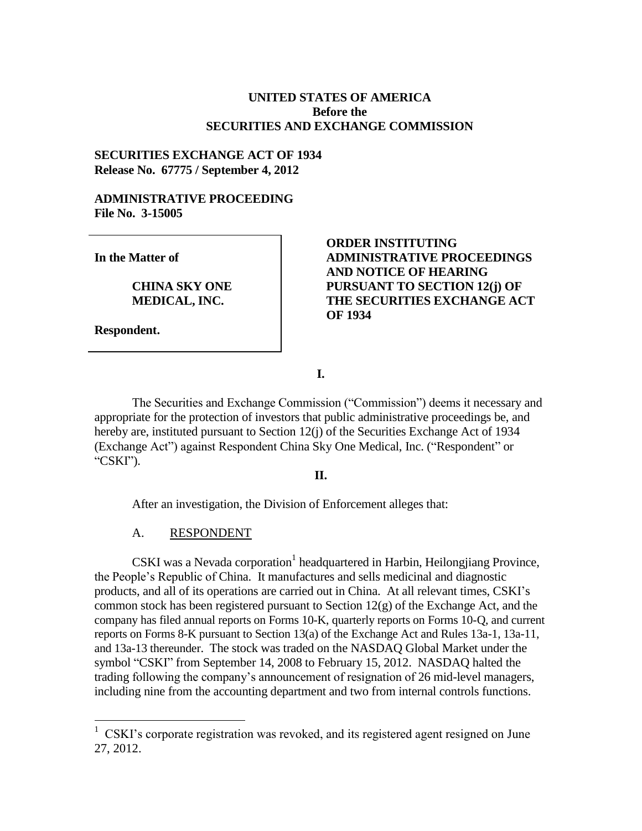# **UNITED STATES OF AMERICA Before the SECURITIES AND EXCHANGE COMMISSION**

## **SECURITIES EXCHANGE ACT OF 1934 Release No. 67775 / September 4, 2012**

### **ADMINISTRATIVE PROCEEDING File No. 3-15005**

**In the Matter of**

**CHINA SKY ONE MEDICAL, INC.**

**Respondent.**

 $\overline{a}$ 

# **ORDER INSTITUTING ADMINISTRATIVE PROCEEDINGS AND NOTICE OF HEARING PURSUANT TO SECTION 12(j) OF THE SECURITIES EXCHANGE ACT OF 1934**

**I.**

The Securities and Exchange Commission ("Commission") deems it necessary and appropriate for the protection of investors that public administrative proceedings be, and hereby are, instituted pursuant to Section 12(j) of the Securities Exchange Act of 1934 (Exchange Act") against Respondent China Sky One Medical, Inc. ("Respondent" or "CSKI").

#### **II.**

After an investigation, the Division of Enforcement alleges that:

#### A. RESPONDENT

CSKI was a Nevada corporation<sup>1</sup> headquartered in Harbin, Heilongjiang Province, the People's Republic of China. It manufactures and sells medicinal and diagnostic products, and all of its operations are carried out in China. At all relevant times, CSKI's common stock has been registered pursuant to Section 12(g) of the Exchange Act, and the company has filed annual reports on Forms 10-K, quarterly reports on Forms 10-Q, and current reports on Forms 8-K pursuant to Section 13(a) of the Exchange Act and Rules 13a-1, 13a-11, and 13a-13 thereunder. The stock was traded on the NASDAQ Global Market under the symbol "CSKI" from September 14, 2008 to February 15, 2012. NASDAQ halted the trading following the company's announcement of resignation of 26 mid-level managers, including nine from the accounting department and two from internal controls functions.

<sup>&</sup>lt;sup>1</sup> CSKI's corporate registration was revoked, and its registered agent resigned on June 27, 2012.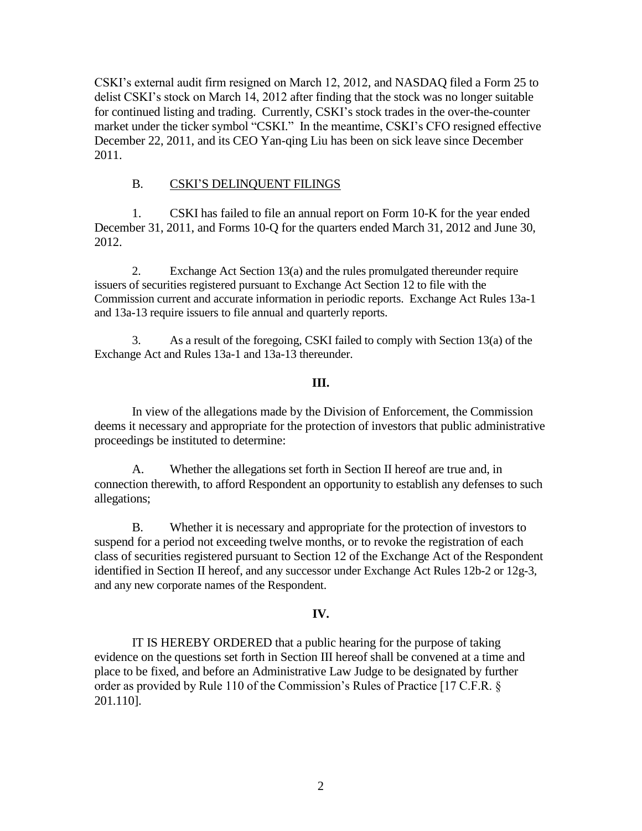CSKI's external audit firm resigned on March 12, 2012, and NASDAQ filed a Form 25 to delist CSKI's stock on March 14, 2012 after finding that the stock was no longer suitable for continued listing and trading. Currently, CSKI's stock trades in the over-the-counter market under the ticker symbol "CSKI." In the meantime, CSKI's CFO resigned effective December 22, 2011, and its CEO Yan-qing Liu has been on sick leave since December 2011.

# B. CSKI'S DELINQUENT FILINGS

1. CSKI has failed to file an annual report on Form 10-K for the year ended December 31, 2011, and Forms 10-Q for the quarters ended March 31, 2012 and June 30, 2012.

2. Exchange Act Section 13(a) and the rules promulgated thereunder require issuers of securities registered pursuant to Exchange Act Section 12 to file with the Commission current and accurate information in periodic reports. Exchange Act Rules 13a-1 and 13a-13 require issuers to file annual and quarterly reports.

3. As a result of the foregoing, CSKI failed to comply with Section 13(a) of the Exchange Act and Rules 13a-1 and 13a-13 thereunder.

# **III.**

In view of the allegations made by the Division of Enforcement, the Commission deems it necessary and appropriate for the protection of investors that public administrative proceedings be instituted to determine:

A. Whether the allegations set forth in Section II hereof are true and, in connection therewith, to afford Respondent an opportunity to establish any defenses to such allegations;

B. Whether it is necessary and appropriate for the protection of investors to suspend for a period not exceeding twelve months, or to revoke the registration of each class of securities registered pursuant to Section 12 of the Exchange Act of the Respondent identified in Section II hereof, and any successor under Exchange Act Rules 12b-2 or 12g-3, and any new corporate names of the Respondent.

# **IV.**

IT IS HEREBY ORDERED that a public hearing for the purpose of taking evidence on the questions set forth in Section III hereof shall be convened at a time and place to be fixed, and before an Administrative Law Judge to be designated by further order as provided by Rule 110 of the Commission's Rules of Practice [17 C.F.R. § 201.110].